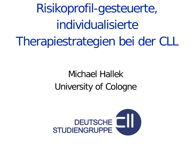Risikoprofil-gesteuerte, individualisierte Therapiestrategien bei der CLL

## Michael Hallek University of Cologne

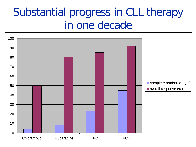## Substantial progress in CLL therapy in one decade

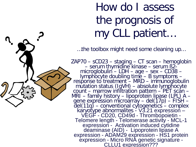# How do I assess the prognosis of my CLL patient…

…the toolbox might need some cleaning up…

 $ZAP70 - SCD23 - staging - CT scan - hemoglobin$ <br>
- serum thymidine kinase - serum B2-<br>
microglobulin - LDH - age - sex - CD38 -<br>
lymphocyte doubling time - B symptoms -<br>
response to treatment - MRD - immunoglobulin<br>
mutation status (IgVH) - absolut deaminase (AID) - Lipoprotein lipase A<br>expression - ADAM29 expression - HS1 protein<br>expression - Micro RNA genetic signature -<br>CLLU1 expression???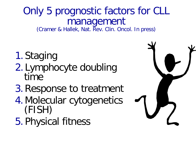# Only 5 prognostic factors for CLL **management**<br>(Cramer & Hallek, Nat. Rev. Clin. Oncol. In press)

- 1. Staging
- 2. Lymphocyte doubling time
- 3.Response to treatment
- 4.Molecular cytogenetics (FISH)
- 5. Physical fitness

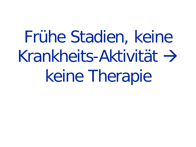Frühe Stadien, keine  $Krankheits-Aktivität \rightarrow$ keine Therapie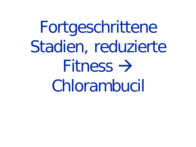Fortgeschrittene Stadien, reduzierte Fitness  $\rightarrow$ Chlorambucil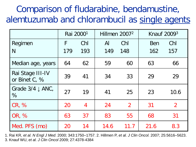## Comparison of fludarabine, bendamustine, alemtuzumab and chlorambucil as single agents

|                                     | Rai 2000 <sup>1</sup> |                | Hillmen 2007 <sup>2</sup> |                | Knauf 2009 <sup>3</sup> |                |
|-------------------------------------|-----------------------|----------------|---------------------------|----------------|-------------------------|----------------|
| Regimen                             | F                     | Chl            | $\mathsf{Al}$             | Chl            | Ben                     | Chl            |
| N                                   | 179                   | 193            | 149                       | 148            | 162                     | 157            |
| Median age, years                   | 64                    | 62             | 59                        | 60             | 63                      | 66             |
| Rai Stage III-IV<br>or Binet C, %   | 39                    | 41             | 34                        | 33             | 29                      | 29             |
| Grade $3/4 \downarrow$ ANC,<br>$\%$ | 27                    | 19             | 41                        | 25             | 23                      | 10.6           |
| CR, %                               | 20                    | $\overline{4}$ | 24                        | $\overline{2}$ | 31                      | $\overline{2}$ |
| OR, %                               | 63                    | 37             | 83                        | 55             | 68                      | 31             |
| Med. PFS (mo)                       | 20                    | 14             | 14.6                      | 11.7           | 21.6                    | 8.3            |

1. Rai KR, *et al. N Engl J Med*. 2000; 343:1750–1757. 2. Hillmen P, *et al. J Clin Oncol.* 2007; 25:5616–5623. 3. Knauf WU, *et al. J Clin Oncol* 2009; 27:4378-4384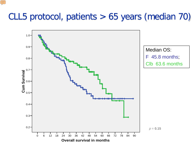### CLL5 protocol, patients > 65 years (median 70)

E

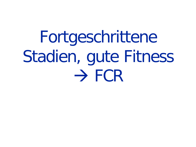Fortgeschrittene Stadien, gute Fitness  $\rightarrow$  FCR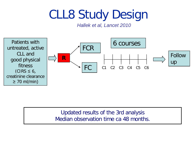# CLL8 Study Design

*Hallek et al, Lancet 2010*



Updated results of the 3rd analysis Median observation time ca 48 months.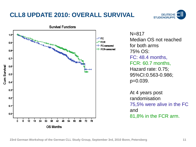#### **CLL8 UPDATE 2010: OVERALL SURVIVAL**





N=817 Median OS not reached for both arms 75% OS: FC: 48.4 months, FCR: 60.7 months, Hazard rate: 0.75; 95%CI:0.563-0.986; p=0.039.

At 4 years post randomisation 75,5% were alive in the FC and 81,8% in the FCR arm.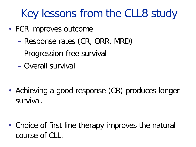# Key lessons from the CLL8 study

- FCR improves outcome
	- Response rates (CR, ORR, MRD)
	- Progression-free survival
	- Overall survival

• Achieving a good response (CR) produces longer survival.

• Choice of first line therapy improves the natural course of CLL.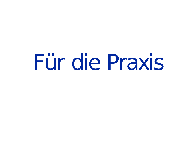# Für die Praxis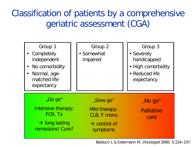## Classification of patients by a comprehensive geriatric assessment (CGA)



Balducci L & Extermann M, Oncologist 2000; 5:224–237.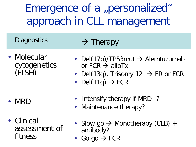Emergence of a "personalized" approach in CLL management

**Diagnostics** 

 $\rightarrow$  Therapy

• Molecular cytogenetics (FISH)

- MRD
- Clinical assessment of fitness
- Del(17p)/TP53mut  $\rightarrow$  Alemtuzumab or  $FCR \rightarrow$  alloTx
- Del(13q), Trisomy 12  $\rightarrow$  FR or FCR
- Del(11q)  $\rightarrow$  FCR
- Intensify therapy if MRD+?
- Maintenance therapy?
- Slow go  $\rightarrow$  Monotherapy (CLB) + antibody?
- Go go  $\rightarrow$  FCR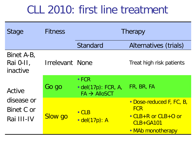## CLL 2010: first line treatment

| Stage                                            | <b>Fitness</b>         | Therapy                                                              |                                                                                                   |  |  |
|--------------------------------------------------|------------------------|----------------------------------------------------------------------|---------------------------------------------------------------------------------------------------|--|--|
|                                                  |                        | <b>Standard</b>                                                      | Alternatives (trials)                                                                             |  |  |
| Binet A-B,<br>Rai 0-II,<br>inactive              | <b>Irrelevant None</b> |                                                                      | Treat high risk patients                                                                          |  |  |
| Active<br>disease or<br>Binet C or<br>Rai III-IV | Go go                  | $\cdot$ FCR<br>$\cdot$ del(17p): FCR, A,<br>$FA \rightarrow AlloSCT$ | FR, BR, FA                                                                                        |  |  |
|                                                  | <b>Slow go</b>         | $\cdot$ CLB<br>$\cdot$ del(17p): A                                   | • Dose-reduced F, FC, B,<br><b>FCR</b><br>• CLB+R or CLB+O or<br>$CLB+GA101$<br>• MAb monotherapy |  |  |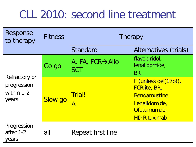## CLL 2010: second line treatment

| Response<br>to therapy                              | <b>Fitness</b> | Therapy                       |                                                                                                                             |  |  |
|-----------------------------------------------------|----------------|-------------------------------|-----------------------------------------------------------------------------------------------------------------------------|--|--|
|                                                     |                | Standard                      | Alternatives (trials)                                                                                                       |  |  |
| Refractory or<br>progression<br>within 1-2<br>years | Go go          | A, FA, FCR→Allo<br><b>SCT</b> | flavopiridol,<br>lenalidomide,<br><b>BR</b>                                                                                 |  |  |
|                                                     | <b>Slow go</b> | <b>Trial!</b><br>Α            | $F$ (unless del(17p)),<br><b>FCRIIte, BR,</b><br><b>Bendamustine</b><br>Lenalidomide,<br>Ofatumumab,<br><b>HD Rituximab</b> |  |  |
| Progression<br>after 1-2<br>years                   | all            | Repeat first line             |                                                                                                                             |  |  |